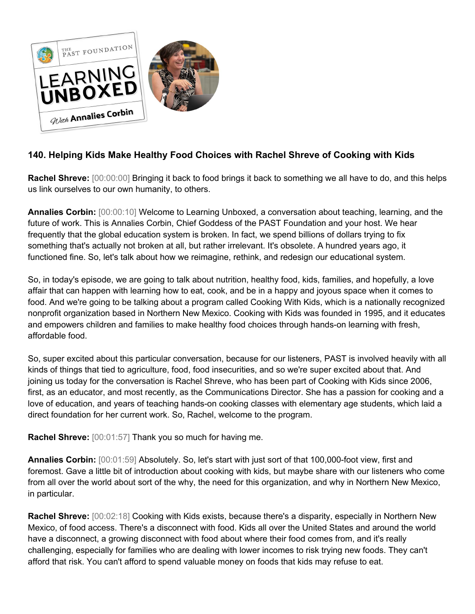

## **140. Helping Kids Make Healthy Food Choices with Rachel Shreve of Cooking with Kids**

**Rachel Shreve:** [00:00:00] Bringing it back to food brings it back to something we all have to do, and this helps us link ourselves to our own humanity, to others.

**Annalies Corbin:** [00:00:10] Welcome to Learning Unboxed, a conversation about teaching, learning, and the future of work. This is Annalies Corbin, Chief Goddess of the PAST Foundation and your host. We hear frequently that the global education system is broken. In fact, we spend billions of dollars trying to fix something that's actually not broken at all, but rather irrelevant. It's obsolete. A hundred years ago, it functioned fine. So, let's talk about how we reimagine, rethink, and redesign our educational system.

So, in today's episode, we are going to talk about nutrition, healthy food, kids, families, and hopefully, a love affair that can happen with learning how to eat, cook, and be in a happy and joyous space when it comes to food. And we're going to be talking about a program called Cooking With Kids, which is a nationally recognized nonprofit organization based in Northern New Mexico. Cooking with Kids was founded in 1995, and it educates and empowers children and families to make healthy food choices through hands-on learning with fresh, affordable food.

So, super excited about this particular conversation, because for our listeners, PAST is involved heavily with all kinds of things that tied to agriculture, food, food insecurities, and so we're super excited about that. And joining us today for the conversation is Rachel Shreve, who has been part of Cooking with Kids since 2006, first, as an educator, and most recently, as the Communications Director. She has a passion for cooking and a love of education, and years of teaching hands-on cooking classes with elementary age students, which laid a direct foundation for her current work. So, Rachel, welcome to the program.

**Rachel Shreve:** [00:01:57] Thank you so much for having me.

**Annalies Corbin:** [00:01:59] Absolutely. So, let's start with just sort of that 100,000-foot view, first and foremost. Gave a little bit of introduction about cooking with kids, but maybe share with our listeners who come from all over the world about sort of the why, the need for this organization, and why in Northern New Mexico, in particular.

**Rachel Shreve:** [00:02:18] Cooking with Kids exists, because there's a disparity, especially in Northern New Mexico, of food access. There's a disconnect with food. Kids all over the United States and around the world have a disconnect, a growing disconnect with food about where their food comes from, and it's really challenging, especially for families who are dealing with lower incomes to risk trying new foods. They can't afford that risk. You can't afford to spend valuable money on foods that kids may refuse to eat.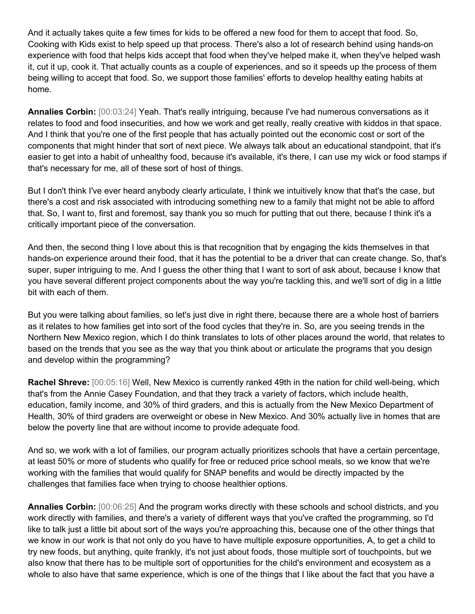And it actually takes quite a few times for kids to be offered a new food for them to accept that food. So, Cooking with Kids exist to help speed up that process. There's also a lot of research behind using hands-on experience with food that helps kids accept that food when they've helped make it, when they've helped wash it, cut it up, cook it. That actually counts as a couple of experiences, and so it speeds up the process of them being willing to accept that food. So, we support those families' efforts to develop healthy eating habits at home.

**Annalies Corbin:** [00:03:24] Yeah. That's really intriguing, because I've had numerous conversations as it relates to food and food insecurities, and how we work and get really, really creative with kiddos in that space. And I think that you're one of the first people that has actually pointed out the economic cost or sort of the components that might hinder that sort of next piece. We always talk about an educational standpoint, that it's easier to get into a habit of unhealthy food, because it's available, it's there, I can use my wick or food stamps if that's necessary for me, all of these sort of host of things.

But I don't think I've ever heard anybody clearly articulate, I think we intuitively know that that's the case, but there's a cost and risk associated with introducing something new to a family that might not be able to afford that. So, I want to, first and foremost, say thank you so much for putting that out there, because I think it's a critically important piece of the conversation.

And then, the second thing I love about this is that recognition that by engaging the kids themselves in that hands-on experience around their food, that it has the potential to be a driver that can create change. So, that's super, super intriguing to me. And I guess the other thing that I want to sort of ask about, because I know that you have several different project components about the way you're tackling this, and we'll sort of dig in a little bit with each of them.

But you were talking about families, so let's just dive in right there, because there are a whole host of barriers as it relates to how families get into sort of the food cycles that they're in. So, are you seeing trends in the Northern New Mexico region, which I do think translates to lots of other places around the world, that relates to based on the trends that you see as the way that you think about or articulate the programs that you design and develop within the programming?

**Rachel Shreve:** [00:05:16] Well, New Mexico is currently ranked 49th in the nation for child well-being, which that's from the Annie Casey Foundation, and that they track a variety of factors, which include health, education, family income, and 30% of third graders, and this is actually from the New Mexico Department of Health, 30% of third graders are overweight or obese in New Mexico. And 30% actually live in homes that are below the poverty line that are without income to provide adequate food.

And so, we work with a lot of families, our program actually prioritizes schools that have a certain percentage, at least 50% or more of students who qualify for free or reduced price school meals, so we know that we're working with the families that would qualify for SNAP benefits and would be directly impacted by the challenges that families face when trying to choose healthier options.

**Annalies Corbin:** [00:06:25] And the program works directly with these schools and school districts, and you work directly with families, and there's a variety of different ways that you've crafted the programming, so I'd like to talk just a little bit about sort of the ways you're approaching this, because one of the other things that we know in our work is that not only do you have to have multiple exposure opportunities, A, to get a child to try new foods, but anything, quite frankly, it's not just about foods, those multiple sort of touchpoints, but we also know that there has to be multiple sort of opportunities for the child's environment and ecosystem as a whole to also have that same experience, which is one of the things that I like about the fact that you have a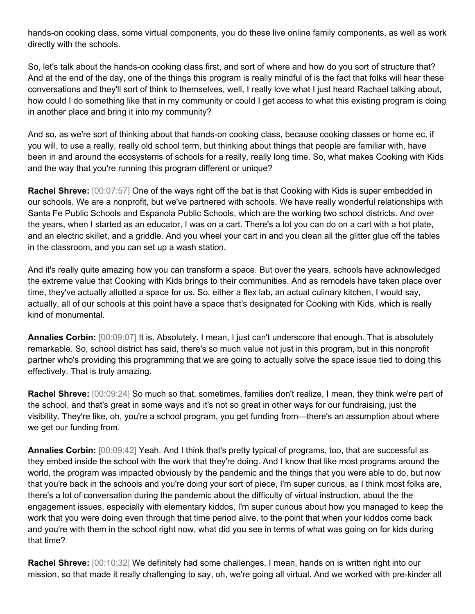hands-on cooking class, some virtual components, you do these live online family components, as well as work directly with the schools.

So, let's talk about the hands-on cooking class first, and sort of where and how do you sort of structure that? And at the end of the day, one of the things this program is really mindful of is the fact that folks will hear these conversations and they'll sort of think to themselves, well, I really love what I just heard Rachael talking about, how could I do something like that in my community or could I get access to what this existing program is doing in another place and bring it into my community?

And so, as we're sort of thinking about that hands-on cooking class, because cooking classes or home ec, if you will, to use a really, really old school term, but thinking about things that people are familiar with, have been in and around the ecosystems of schools for a really, really long time. So, what makes Cooking with Kids and the way that you're running this program different or unique?

**Rachel Shreve:** [00:07:57] One of the ways right off the bat is that Cooking with Kids is super embedded in our schools. We are a nonprofit, but we've partnered with schools. We have really wonderful relationships with Santa Fe Public Schools and Espanola Public Schools, which are the working two school districts. And over the years, when I started as an educator, I was on a cart. There's a lot you can do on a cart with a hot plate, and an electric skillet, and a griddle. And you wheel your cart in and you clean all the glitter glue off the tables in the classroom, and you can set up a wash station.

And it's really quite amazing how you can transform a space. But over the years, schools have acknowledged the extreme value that Cooking with Kids brings to their communities. And as remodels have taken place over time, they've actually allotted a space for us. So, either a flex lab, an actual culinary kitchen, I would say, actually, all of our schools at this point have a space that's designated for Cooking with Kids, which is really kind of monumental.

**Annalies Corbin:** [00:09:07] It is. Absolutely. I mean, I just can't underscore that enough. That is absolutely remarkable. So, school district has said, there's so much value not just in this program, but in this nonprofit partner who's providing this programming that we are going to actually solve the space issue tied to doing this effectively. That is truly amazing.

**Rachel Shreve:** [00:09:24] So much so that, sometimes, families don't realize, I mean, they think we're part of the school, and that's great in some ways and it's not so great in other ways for our fundraising, just the visibility. They're like, oh, you're a school program, you get funding from—there's an assumption about where we get our funding from.

**Annalies Corbin:** [00:09:42] Yeah. And I think that's pretty typical of programs, too, that are successful as they embed inside the school with the work that they're doing. And I know that like most programs around the world, the program was impacted obviously by the pandemic and the things that you were able to do, but now that you're back in the schools and you're doing your sort of piece, I'm super curious, as I think most folks are, there's a lot of conversation during the pandemic about the difficulty of virtual instruction, about the the engagement issues, especially with elementary kiddos, I'm super curious about how you managed to keep the work that you were doing even through that time period alive, to the point that when your kiddos come back and you're with them in the school right now, what did you see in terms of what was going on for kids during that time?

**Rachel Shreve:** [00:10:32] We definitely had some challenges. I mean, hands on is written right into our mission, so that made it really challenging to say, oh, we're going all virtual. And we worked with pre-kinder all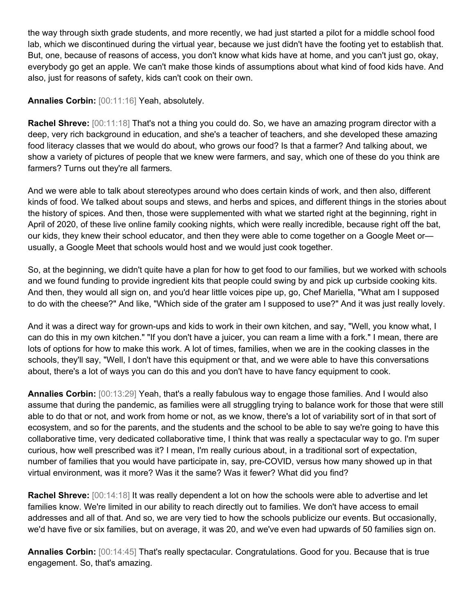the way through sixth grade students, and more recently, we had just started a pilot for a middle school food lab, which we discontinued during the virtual year, because we just didn't have the footing yet to establish that. But, one, because of reasons of access, you don't know what kids have at home, and you can't just go, okay, everybody go get an apple. We can't make those kinds of assumptions about what kind of food kids have. And also, just for reasons of safety, kids can't cook on their own.

## **Annalies Corbin:** [00:11:16] Yeah, absolutely.

**Rachel Shreve:** [00:11:18] That's not a thing you could do. So, we have an amazing program director with a deep, very rich background in education, and she's a teacher of teachers, and she developed these amazing food literacy classes that we would do about, who grows our food? Is that a farmer? And talking about, we show a variety of pictures of people that we knew were farmers, and say, which one of these do you think are farmers? Turns out they're all farmers.

And we were able to talk about stereotypes around who does certain kinds of work, and then also, different kinds of food. We talked about soups and stews, and herbs and spices, and different things in the stories about the history of spices. And then, those were supplemented with what we started right at the beginning, right in April of 2020, of these live online family cooking nights, which were really incredible, because right off the bat, our kids, they knew their school educator, and then they were able to come together on a Google Meet or usually, a Google Meet that schools would host and we would just cook together.

So, at the beginning, we didn't quite have a plan for how to get food to our families, but we worked with schools and we found funding to provide ingredient kits that people could swing by and pick up curbside cooking kits. And then, they would all sign on, and you'd hear little voices pipe up, go, Chef Mariella, "What am I supposed to do with the cheese?" And like, "Which side of the grater am I supposed to use?" And it was just really lovely.

And it was a direct way for grown-ups and kids to work in their own kitchen, and say, "Well, you know what, I can do this in my own kitchen." "If you don't have a juicer, you can ream a lime with a fork." I mean, there are lots of options for how to make this work. A lot of times, families, when we are in the cooking classes in the schools, they'll say, "Well, I don't have this equipment or that, and we were able to have this conversations about, there's a lot of ways you can do this and you don't have to have fancy equipment to cook.

**Annalies Corbin:** [00:13:29] Yeah, that's a really fabulous way to engage those families. And I would also assume that during the pandemic, as families were all struggling trying to balance work for those that were still able to do that or not, and work from home or not, as we know, there's a lot of variability sort of in that sort of ecosystem, and so for the parents, and the students and the school to be able to say we're going to have this collaborative time, very dedicated collaborative time, I think that was really a spectacular way to go. I'm super curious, how well prescribed was it? I mean, I'm really curious about, in a traditional sort of expectation, number of families that you would have participate in, say, pre-COVID, versus how many showed up in that virtual environment, was it more? Was it the same? Was it fewer? What did you find?

**Rachel Shreve:** [00:14:18] It was really dependent a lot on how the schools were able to advertise and let families know. We're limited in our ability to reach directly out to families. We don't have access to email addresses and all of that. And so, we are very tied to how the schools publicize our events. But occasionally, we'd have five or six families, but on average, it was 20, and we've even had upwards of 50 families sign on.

**Annalies Corbin:** [00:14:45] That's really spectacular. Congratulations. Good for you. Because that is true engagement. So, that's amazing.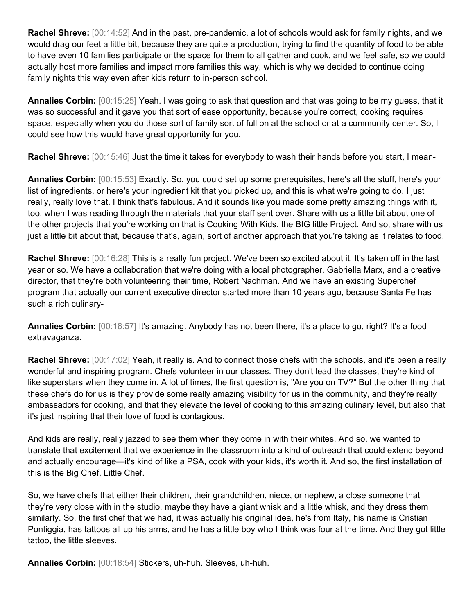**Rachel Shreve:** [00:14:52] And in the past, pre-pandemic, a lot of schools would ask for family nights, and we would drag our feet a little bit, because they are quite a production, trying to find the quantity of food to be able to have even 10 families participate or the space for them to all gather and cook, and we feel safe, so we could actually host more families and impact more families this way, which is why we decided to continue doing family nights this way even after kids return to in-person school.

**Annalies Corbin:** [00:15:25] Yeah. I was going to ask that question and that was going to be my guess, that it was so successful and it gave you that sort of ease opportunity, because you're correct, cooking requires space, especially when you do those sort of family sort of full on at the school or at a community center. So, I could see how this would have great opportunity for you.

**Rachel Shreve:** [00:15:46] Just the time it takes for everybody to wash their hands before you start, I mean-

**Annalies Corbin:** [00:15:53] Exactly. So, you could set up some prerequisites, here's all the stuff, here's your list of ingredients, or here's your ingredient kit that you picked up, and this is what we're going to do. I just really, really love that. I think that's fabulous. And it sounds like you made some pretty amazing things with it, too, when I was reading through the materials that your staff sent over. Share with us a little bit about one of the other projects that you're working on that is Cooking With Kids, the BIG little Project. And so, share with us just a little bit about that, because that's, again, sort of another approach that you're taking as it relates to food.

**Rachel Shreve:** [00:16:28] This is a really fun project. We've been so excited about it. It's taken off in the last year or so. We have a collaboration that we're doing with a local photographer, Gabriella Marx, and a creative director, that they're both volunteering their time, Robert Nachman. And we have an existing Superchef program that actually our current executive director started more than 10 years ago, because Santa Fe has such a rich culinary-

**Annalies Corbin:** [00:16:57] It's amazing. Anybody has not been there, it's a place to go, right? It's a food extravaganza.

**Rachel Shreve:** [00:17:02] Yeah, it really is. And to connect those chefs with the schools, and it's been a really wonderful and inspiring program. Chefs volunteer in our classes. They don't lead the classes, they're kind of like superstars when they come in. A lot of times, the first question is, "Are you on TV?" But the other thing that these chefs do for us is they provide some really amazing visibility for us in the community, and they're really ambassadors for cooking, and that they elevate the level of cooking to this amazing culinary level, but also that it's just inspiring that their love of food is contagious.

And kids are really, really jazzed to see them when they come in with their whites. And so, we wanted to translate that excitement that we experience in the classroom into a kind of outreach that could extend beyond and actually encourage—it's kind of like a PSA, cook with your kids, it's worth it. And so, the first installation of this is the Big Chef, Little Chef.

So, we have chefs that either their children, their grandchildren, niece, or nephew, a close someone that they're very close with in the studio, maybe they have a giant whisk and a little whisk, and they dress them similarly. So, the first chef that we had, it was actually his original idea, he's from Italy, his name is Cristian Pontiggia, has tattoos all up his arms, and he has a little boy who I think was four at the time. And they got little tattoo, the little sleeves.

**Annalies Corbin:** [00:18:54] Stickers, uh-huh. Sleeves, uh-huh.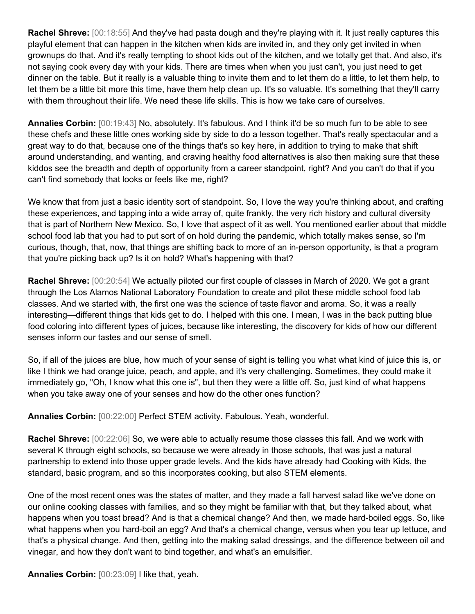**Rachel Shreve:** [00:18:55] And they've had pasta dough and they're playing with it. It just really captures this playful element that can happen in the kitchen when kids are invited in, and they only get invited in when grownups do that. And it's really tempting to shoot kids out of the kitchen, and we totally get that. And also, it's not saying cook every day with your kids. There are times when when you just can't, you just need to get dinner on the table. But it really is a valuable thing to invite them and to let them do a little, to let them help, to let them be a little bit more this time, have them help clean up. It's so valuable. It's something that they'll carry with them throughout their life. We need these life skills. This is how we take care of ourselves.

**Annalies Corbin:** [00:19:43] No, absolutely. It's fabulous. And I think it'd be so much fun to be able to see these chefs and these little ones working side by side to do a lesson together. That's really spectacular and a great way to do that, because one of the things that's so key here, in addition to trying to make that shift around understanding, and wanting, and craving healthy food alternatives is also then making sure that these kiddos see the breadth and depth of opportunity from a career standpoint, right? And you can't do that if you can't find somebody that looks or feels like me, right?

We know that from just a basic identity sort of standpoint. So, I love the way you're thinking about, and crafting these experiences, and tapping into a wide array of, quite frankly, the very rich history and cultural diversity that is part of Northern New Mexico. So, I love that aspect of it as well. You mentioned earlier about that middle school food lab that you had to put sort of on hold during the pandemic, which totally makes sense, so I'm curious, though, that, now, that things are shifting back to more of an in-person opportunity, is that a program that you're picking back up? Is it on hold? What's happening with that?

**Rachel Shreve:** [00:20:54] We actually piloted our first couple of classes in March of 2020. We got a grant through the Los Alamos National Laboratory Foundation to create and pilot these middle school food lab classes. And we started with, the first one was the science of taste flavor and aroma. So, it was a really interesting—different things that kids get to do. I helped with this one. I mean, I was in the back putting blue food coloring into different types of juices, because like interesting, the discovery for kids of how our different senses inform our tastes and our sense of smell.

So, if all of the juices are blue, how much of your sense of sight is telling you what what kind of juice this is, or like I think we had orange juice, peach, and apple, and it's very challenging. Sometimes, they could make it immediately go, "Oh, I know what this one is", but then they were a little off. So, just kind of what happens when you take away one of your senses and how do the other ones function?

**Annalies Corbin:** [00:22:00] Perfect STEM activity. Fabulous. Yeah, wonderful.

**Rachel Shreve:** [00:22:06] So, we were able to actually resume those classes this fall. And we work with several K through eight schools, so because we were already in those schools, that was just a natural partnership to extend into those upper grade levels. And the kids have already had Cooking with Kids, the standard, basic program, and so this incorporates cooking, but also STEM elements.

One of the most recent ones was the states of matter, and they made a fall harvest salad like we've done on our online cooking classes with families, and so they might be familiar with that, but they talked about, what happens when you toast bread? And is that a chemical change? And then, we made hard-boiled eggs. So, like what happens when you hard-boil an egg? And that's a chemical change, versus when you tear up lettuce, and that's a physical change. And then, getting into the making salad dressings, and the difference between oil and vinegar, and how they don't want to bind together, and what's an emulsifier.

**Annalies Corbin:** [00:23:09] I like that, yeah.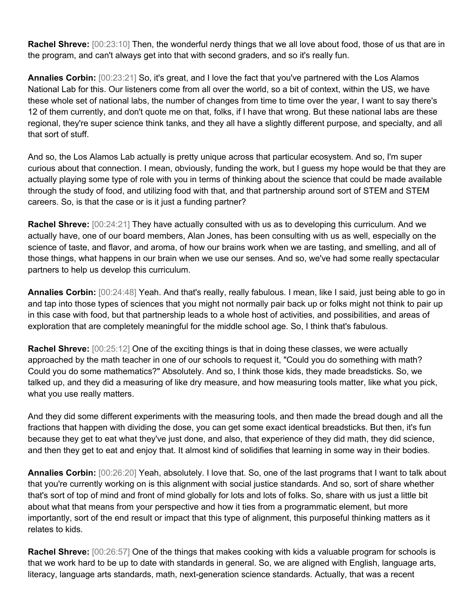**Rachel Shreve:** [00:23:10] Then, the wonderful nerdy things that we all love about food, those of us that are in the program, and can't always get into that with second graders, and so it's really fun.

**Annalies Corbin:** [00:23:21] So, it's great, and I love the fact that you've partnered with the Los Alamos National Lab for this. Our listeners come from all over the world, so a bit of context, within the US, we have these whole set of national labs, the number of changes from time to time over the year, I want to say there's 12 of them currently, and don't quote me on that, folks, if I have that wrong. But these national labs are these regional, they're super science think tanks, and they all have a slightly different purpose, and specialty, and all that sort of stuff.

And so, the Los Alamos Lab actually is pretty unique across that particular ecosystem. And so, I'm super curious about that connection. I mean, obviously, funding the work, but I guess my hope would be that they are actually playing some type of role with you in terms of thinking about the science that could be made available through the study of food, and utilizing food with that, and that partnership around sort of STEM and STEM careers. So, is that the case or is it just a funding partner?

**Rachel Shreve:** [00:24:21] They have actually consulted with us as to developing this curriculum. And we actually have, one of our board members, Alan Jones, has been consulting with us as well, especially on the science of taste, and flavor, and aroma, of how our brains work when we are tasting, and smelling, and all of those things, what happens in our brain when we use our senses. And so, we've had some really spectacular partners to help us develop this curriculum.

**Annalies Corbin:** [00:24:48] Yeah. And that's really, really fabulous. I mean, like I said, just being able to go in and tap into those types of sciences that you might not normally pair back up or folks might not think to pair up in this case with food, but that partnership leads to a whole host of activities, and possibilities, and areas of exploration that are completely meaningful for the middle school age. So, I think that's fabulous.

**Rachel Shreve:** [00:25:12] One of the exciting things is that in doing these classes, we were actually approached by the math teacher in one of our schools to request it, "Could you do something with math? Could you do some mathematics?" Absolutely. And so, I think those kids, they made breadsticks. So, we talked up, and they did a measuring of like dry measure, and how measuring tools matter, like what you pick, what you use really matters.

And they did some different experiments with the measuring tools, and then made the bread dough and all the fractions that happen with dividing the dose, you can get some exact identical breadsticks. But then, it's fun because they get to eat what they've just done, and also, that experience of they did math, they did science, and then they get to eat and enjoy that. It almost kind of solidifies that learning in some way in their bodies.

**Annalies Corbin:** [00:26:20] Yeah, absolutely. I love that. So, one of the last programs that I want to talk about that you're currently working on is this alignment with social justice standards. And so, sort of share whether that's sort of top of mind and front of mind globally for lots and lots of folks. So, share with us just a little bit about what that means from your perspective and how it ties from a programmatic element, but more importantly, sort of the end result or impact that this type of alignment, this purposeful thinking matters as it relates to kids.

**Rachel Shreve:** [00:26:57] One of the things that makes cooking with kids a valuable program for schools is that we work hard to be up to date with standards in general. So, we are aligned with English, language arts, literacy, language arts standards, math, next-generation science standards. Actually, that was a recent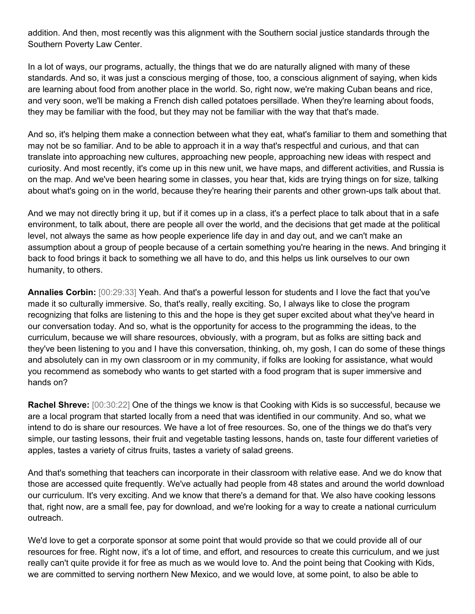addition. And then, most recently was this alignment with the Southern social justice standards through the Southern Poverty Law Center.

In a lot of ways, our programs, actually, the things that we do are naturally aligned with many of these standards. And so, it was just a conscious merging of those, too, a conscious alignment of saying, when kids are learning about food from another place in the world. So, right now, we're making Cuban beans and rice, and very soon, we'll be making a French dish called potatoes persillade. When they're learning about foods, they may be familiar with the food, but they may not be familiar with the way that that's made.

And so, it's helping them make a connection between what they eat, what's familiar to them and something that may not be so familiar. And to be able to approach it in a way that's respectful and curious, and that can translate into approaching new cultures, approaching new people, approaching new ideas with respect and curiosity. And most recently, it's come up in this new unit, we have maps, and different activities, and Russia is on the map. And we've been hearing some in classes, you hear that, kids are trying things on for size, talking about what's going on in the world, because they're hearing their parents and other grown-ups talk about that.

And we may not directly bring it up, but if it comes up in a class, it's a perfect place to talk about that in a safe environment, to talk about, there are people all over the world, and the decisions that get made at the political level, not always the same as how people experience life day in and day out, and we can't make an assumption about a group of people because of a certain something you're hearing in the news. And bringing it back to food brings it back to something we all have to do, and this helps us link ourselves to our own humanity, to others.

**Annalies Corbin:** [00:29:33] Yeah. And that's a powerful lesson for students and I love the fact that you've made it so culturally immersive. So, that's really, really exciting. So, I always like to close the program recognizing that folks are listening to this and the hope is they get super excited about what they've heard in our conversation today. And so, what is the opportunity for access to the programming the ideas, to the curriculum, because we will share resources, obviously, with a program, but as folks are sitting back and they've been listening to you and I have this conversation, thinking, oh, my gosh, I can do some of these things and absolutely can in my own classroom or in my community, if folks are looking for assistance, what would you recommend as somebody who wants to get started with a food program that is super immersive and hands on?

**Rachel Shreve:** [00:30:22] One of the things we know is that Cooking with Kids is so successful, because we are a local program that started locally from a need that was identified in our community. And so, what we intend to do is share our resources. We have a lot of free resources. So, one of the things we do that's very simple, our tasting lessons, their fruit and vegetable tasting lessons, hands on, taste four different varieties of apples, tastes a variety of citrus fruits, tastes a variety of salad greens.

And that's something that teachers can incorporate in their classroom with relative ease. And we do know that those are accessed quite frequently. We've actually had people from 48 states and around the world download our curriculum. It's very exciting. And we know that there's a demand for that. We also have cooking lessons that, right now, are a small fee, pay for download, and we're looking for a way to create a national curriculum outreach.

We'd love to get a corporate sponsor at some point that would provide so that we could provide all of our resources for free. Right now, it's a lot of time, and effort, and resources to create this curriculum, and we just really can't quite provide it for free as much as we would love to. And the point being that Cooking with Kids, we are committed to serving northern New Mexico, and we would love, at some point, to also be able to